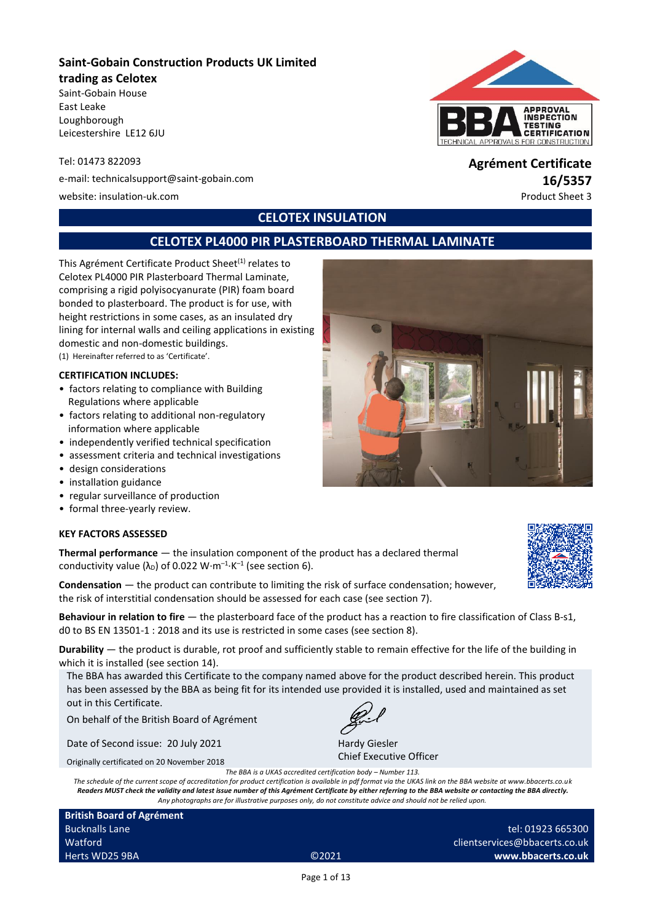# **Saint-Gobain Construction Products UK Limited**

#### **trading as Celotex**

Saint-Gobain House East Leake Loughborough Leicestershire LE12 6JU

Tel: 01473 822093 **Agrément Certificate**

e-mail: technicalsupport@saint-gobain.com **16/5357**

website: insulation-uk.com **Product Sheet 3** and the extent of the extent of the extent of the extent of the extent of the extent of the extent of the extent of the extent of the extent of the extent of the extent of the e

# **CELOTEX INSULATION**

# **CELOTEX PL4000 PIR PLASTERBOARD THERMAL LAMINATE**

This Agrément Certificate Product Sheet<sup>(1)</sup> relates to Celotex PL4000 PIR Plasterboard Thermal Laminate, comprising a rigid polyisocyanurate (PIR) foam board bonded to plasterboard. The product is for use, with height restrictions in some cases, as an insulated dry lining for internal walls and ceiling applications in existing domestic and non-domestic buildings. (1) Hereinafter referred to as 'Certificate'.

#### **CERTIFICATION INCLUDES:**

- factors relating to compliance with Building Regulations where applicable
- factors relating to additional non-regulatory information where applicable
- independently verified technical specification
- assessment criteria and technical investigations
- design considerations
- installation guidance
- regular surveillance of production
- formal three-yearly review.

### **KEY FACTORS ASSESSED**

**Thermal performance** — the insulation component of the product has a declared thermal conductivity value ( $\lambda_{\text{D}}$ ) of 0.022 W·m<sup>-1</sup>·K<sup>-1</sup> (see section 6).

**Condensation** — the product can contribute to limiting the risk of surface condensation; however, the risk of interstitial condensation should be assessed for each case (see section 7).

**Behaviour in relation to fire** — the plasterboard face of the product has a reaction to fire classification of Class B-s1, d0 to BS EN 13501-1 : 2018 and its use is restricted in some cases (see section 8).

**Durability** — the product is durable, rot proof and sufficiently stable to remain effective for the life of the building in which it is installed (see section 14).

The BBA has awarded this Certificate to the company named above for the product described herein. This product has been assessed by the BBA as being fit for its intended use provided it is installed, used and maintained as set out in this Certificate.

On behalf of the British Board of Agrément

Date of Second issue: 20 July 2021

Originally certificated on 20 November 2018

*The schedule of the current scope of accreditation for product certification is available in pdf format via the UKAS link on the BBA website at www.bbacerts.co.uk Readers MUST check the validity and latest issue number of this Agrément Certificate by either referring to the BBA website or contacting the BBA directly. Any photographs are for illustrative purposes only, do not constitute advice and should not be relied upon.*

**British Board of Agrément** Bucknalls Lane **Watford** Herts WD25 9BA ©2021









Hardy Giesler Chief Executive Officer

*The BBA is a UKAS accredited certification body – Number 113.*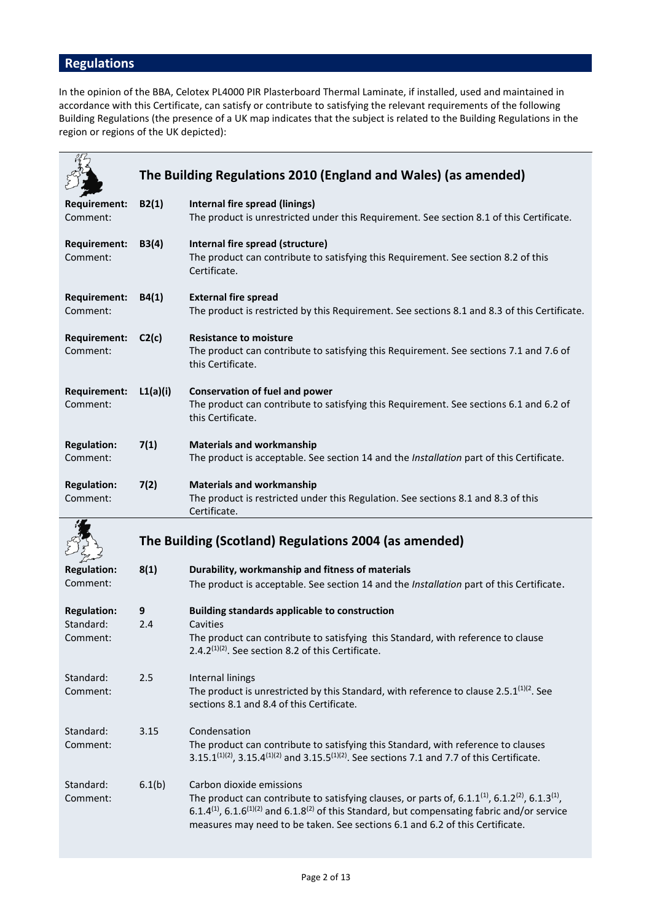# **Regulations**

In the opinion of the BBA, Celotex PL4000 PIR Plasterboard Thermal Laminate, if installed, used and maintained in accordance with this Certificate, can satisfy or contribute to satisfying the relevant requirements of the following Building Regulations (the presence of a UK map indicates that the subject is related to the Building Regulations in the region or regions of the UK depicted):

|                                             | The Building Regulations 2010 (England and Wales) (as amended) |                                                                                                                                                                                                                                       |  |  |
|---------------------------------------------|----------------------------------------------------------------|---------------------------------------------------------------------------------------------------------------------------------------------------------------------------------------------------------------------------------------|--|--|
| <b>Requirement:</b><br>Comment:             | B2(1)                                                          | Internal fire spread (linings)<br>The product is unrestricted under this Requirement. See section 8.1 of this Certificate.                                                                                                            |  |  |
| <b>Requirement:</b><br>Comment:             | B3(4)                                                          | Internal fire spread (structure)<br>The product can contribute to satisfying this Requirement. See section 8.2 of this<br>Certificate.                                                                                                |  |  |
| <b>Requirement:</b><br>Comment:             | B4(1)                                                          | <b>External fire spread</b><br>The product is restricted by this Requirement. See sections 8.1 and 8.3 of this Certificate.                                                                                                           |  |  |
| <b>Requirement:</b><br>Comment:             | C2(c)                                                          | <b>Resistance to moisture</b><br>The product can contribute to satisfying this Requirement. See sections 7.1 and 7.6 of<br>this Certificate.                                                                                          |  |  |
| <b>Requirement:</b><br>Comment:             | L1(a)(i)                                                       | <b>Conservation of fuel and power</b><br>The product can contribute to satisfying this Requirement. See sections 6.1 and 6.2 of<br>this Certificate.                                                                                  |  |  |
| <b>Regulation:</b><br>Comment:              | 7(1)                                                           | <b>Materials and workmanship</b><br>The product is acceptable. See section 14 and the Installation part of this Certificate.                                                                                                          |  |  |
| <b>Regulation:</b><br>Comment:              | 7(2)                                                           | <b>Materials and workmanship</b><br>The product is restricted under this Regulation. See sections 8.1 and 8.3 of this<br>Certificate.                                                                                                 |  |  |
|                                             |                                                                |                                                                                                                                                                                                                                       |  |  |
|                                             |                                                                | The Building (Scotland) Regulations 2004 (as amended)                                                                                                                                                                                 |  |  |
| <b>Regulation:</b><br>Comment:              | 8(1)                                                           | Durability, workmanship and fitness of materials<br>The product is acceptable. See section 14 and the Installation part of this Certificate.                                                                                          |  |  |
| <b>Regulation:</b><br>Standard:<br>Comment: | 9<br>2.4                                                       | <b>Building standards applicable to construction</b><br>Cavities<br>The product can contribute to satisfying this Standard, with reference to clause                                                                                  |  |  |
|                                             |                                                                | 2.4.2 <sup>(1)(2)</sup> . See section 8.2 of this Certificate.                                                                                                                                                                        |  |  |
| Standard:<br>Comment:                       | 2.5                                                            | Internal linings<br>The product is unrestricted by this Standard, with reference to clause 2.5. $1^{(1)(2)}$ . See<br>sections 8.1 and 8.4 of this Certificate.                                                                       |  |  |
| Standard:<br>Comment:                       | 3.15                                                           | Condensation<br>The product can contribute to satisfying this Standard, with reference to clauses<br>3.15.1 <sup>(1)(2)</sup> , 3.15.4 <sup>(1)(2)</sup> and 3.15.5 <sup>(1)(2)</sup> . See sections 7.1 and 7.7 of this Certificate. |  |  |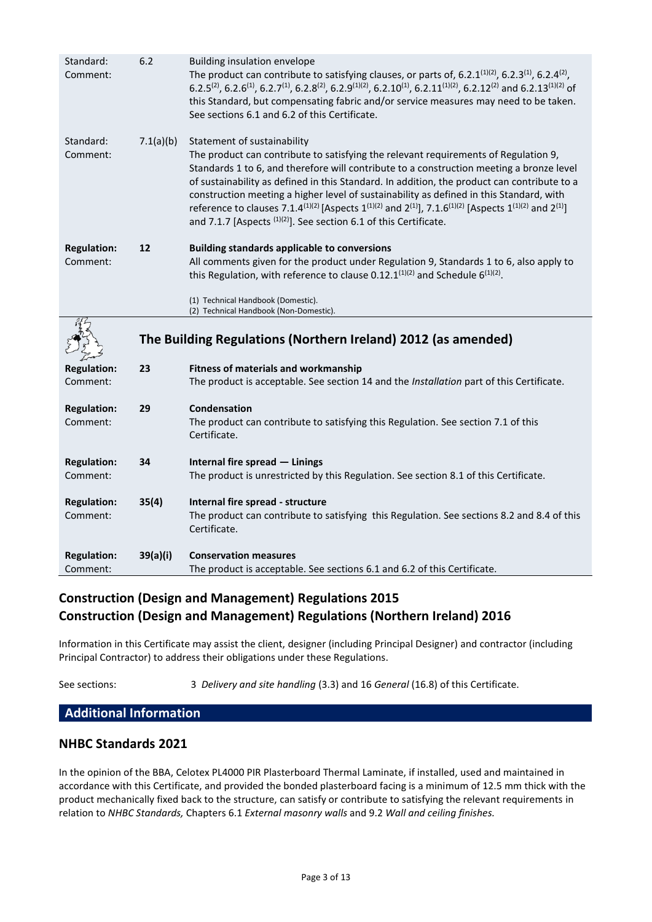| Standard:<br>Comment:          | 6.2       | <b>Building insulation envelope</b><br>The product can contribute to satisfying clauses, or parts of, 6.2.1 $(1)(2)$ , 6.2.3 $(1)$ , 6.2.4 $(2)$ ,<br>6.2.5 <sup>(2)</sup> , 6.2.6 <sup>(1)</sup> , 6.2.7 <sup>(1)</sup> , 6.2.8 <sup>(2)</sup> , 6.2.9 <sup>(1)</sup> (2), 6.2.10 <sup>(1)</sup> , 6.2.11 <sup>(1)</sup> (2), 6.2.12 <sup>(2)</sup> and 6.2.13 <sup>(1)</sup> (2) of<br>this Standard, but compensating fabric and/or service measures may need to be taken.<br>See sections 6.1 and 6.2 of this Certificate.                                                                                                                                      |
|--------------------------------|-----------|---------------------------------------------------------------------------------------------------------------------------------------------------------------------------------------------------------------------------------------------------------------------------------------------------------------------------------------------------------------------------------------------------------------------------------------------------------------------------------------------------------------------------------------------------------------------------------------------------------------------------------------------------------------------|
| Standard:<br>Comment:          | 7.1(a)(b) | Statement of sustainability<br>The product can contribute to satisfying the relevant requirements of Regulation 9,<br>Standards 1 to 6, and therefore will contribute to a construction meeting a bronze level<br>of sustainability as defined in this Standard. In addition, the product can contribute to a<br>construction meeting a higher level of sustainability as defined in this Standard, with<br>reference to clauses 7.1.4 <sup>(1)(2)</sup> [Aspects 1 <sup>(1)(2)</sup> and 2 <sup>(1)</sup> ], 7.1.6 <sup>(1)(2)</sup> [Aspects 1 <sup>(1)(2)</sup> and 2 <sup>(1)</sup> ]<br>and 7.1.7 [Aspects $^{(1)(2)}$ ]. See section 6.1 of this Certificate. |
| <b>Regulation:</b><br>Comment: | 12        | <b>Building standards applicable to conversions</b><br>All comments given for the product under Regulation 9, Standards 1 to 6, also apply to<br>this Regulation, with reference to clause 0.12.1 $(1)(2)$ and Schedule 6 $(1)(2)$ .<br>(1) Technical Handbook (Domestic).                                                                                                                                                                                                                                                                                                                                                                                          |
|                                |           | (2) Technical Handbook (Non-Domestic).                                                                                                                                                                                                                                                                                                                                                                                                                                                                                                                                                                                                                              |
|                                |           |                                                                                                                                                                                                                                                                                                                                                                                                                                                                                                                                                                                                                                                                     |
|                                |           | The Building Regulations (Northern Ireland) 2012 (as amended)                                                                                                                                                                                                                                                                                                                                                                                                                                                                                                                                                                                                       |
| <b>Regulation:</b>             | 23        | Fitness of materials and workmanship                                                                                                                                                                                                                                                                                                                                                                                                                                                                                                                                                                                                                                |
| Comment:                       |           | The product is acceptable. See section 14 and the Installation part of this Certificate.                                                                                                                                                                                                                                                                                                                                                                                                                                                                                                                                                                            |
| <b>Regulation:</b><br>Comment: | 29        | Condensation<br>The product can contribute to satisfying this Regulation. See section 7.1 of this<br>Certificate.                                                                                                                                                                                                                                                                                                                                                                                                                                                                                                                                                   |
| <b>Regulation:</b>             | 34        | Internal fire spread - Linings                                                                                                                                                                                                                                                                                                                                                                                                                                                                                                                                                                                                                                      |
| Comment:                       |           | The product is unrestricted by this Regulation. See section 8.1 of this Certificate.                                                                                                                                                                                                                                                                                                                                                                                                                                                                                                                                                                                |
| <b>Regulation:</b><br>Comment: | 35(4)     | Internal fire spread - structure<br>The product can contribute to satisfying this Regulation. See sections 8.2 and 8.4 of this<br>Certificate.                                                                                                                                                                                                                                                                                                                                                                                                                                                                                                                      |
| <b>Regulation:</b>             | 39(a)(i)  | <b>Conservation measures</b><br>The product is acceptable. See sections 6.1 and 6.2 of this Certificate.                                                                                                                                                                                                                                                                                                                                                                                                                                                                                                                                                            |

## **Construction (Design and Management) Regulations 2015 Construction (Design and Management) Regulations (Northern Ireland) 2016**

Information in this Certificate may assist the client, designer (including Principal Designer) and contractor (including Principal Contractor) to address their obligations under these Regulations.

See sections: 3 *Delivery and site handling* (3.3) and 16 *General* (16.8) of this Certificate.

## **Additional Information**

### **NHBC Standards 2021**

In the opinion of the BBA, Celotex PL4000 PIR Plasterboard Thermal Laminate, if installed, used and maintained in accordance with this Certificate, and provided the bonded plasterboard facing is a minimum of 12.5 mm thick with the product mechanically fixed back to the structure, can satisfy or contribute to satisfying the relevant requirements in relation to *NHBC Standards,* Chapters 6.1 *External masonry walls* and 9.2 *Wall and ceiling finishes.*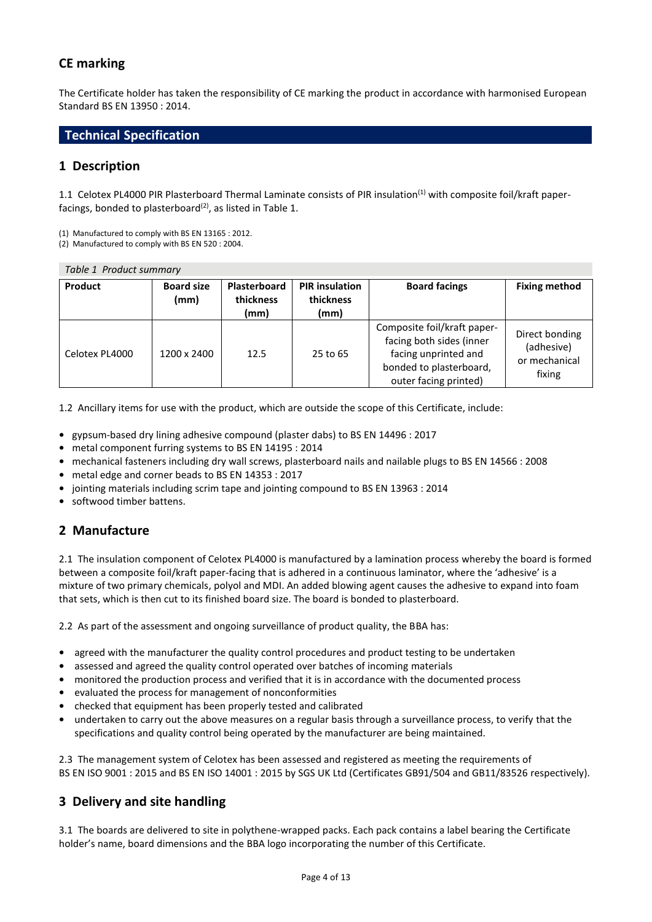## **CE marking**

The Certificate holder has taken the responsibility of CE marking the product in accordance with harmonised European Standard BS EN 13950 : 2014.

### **Technical Specification**

### **1 Description**

1.1 Celotex PL4000 PIR Plasterboard Thermal Laminate consists of PIR insulation<sup>(1)</sup> with composite foil/kraft paperfacings, bonded to plasterboard<sup>(2)</sup>, as listed in Table 1.

(1) Manufactured to comply with BS EN 13165 : 2012.

(2) Manufactured to comply with BS EN 520 : 2004.

| Table 1 Product summary |                           |                                   |                                            |                                                                                                                                     |                                                         |
|-------------------------|---------------------------|-----------------------------------|--------------------------------------------|-------------------------------------------------------------------------------------------------------------------------------------|---------------------------------------------------------|
| Product                 | <b>Board size</b><br>(mm) | Plasterboard<br>thickness<br>(mm) | <b>PIR</b> insulation<br>thickness<br>(mm) | <b>Board facings</b>                                                                                                                | <b>Fixing method</b>                                    |
| Celotex PL4000          | 1200 x 2400               | 12.5                              | 25 to 65                                   | Composite foil/kraft paper-<br>facing both sides (inner<br>facing unprinted and<br>bonded to plasterboard,<br>outer facing printed) | Direct bonding<br>(adhesive)<br>or mechanical<br>fixing |

1.2 Ancillary items for use with the product, which are outside the scope of this Certificate, include:

- **•** gypsum-based dry lining adhesive compound (plaster dabs) to BS EN 14496 : 2017
- **•** metal component furring systems to BS EN 14195 : 2014
- **•** mechanical fasteners including dry wall screws, plasterboard nails and nailable plugs to BS EN 14566 : 2008
- **•** metal edge and corner beads to BS EN 14353 : 2017
- **•** jointing materials including scrim tape and jointing compound to BS EN 13963 : 2014
- **•** softwood timber battens.

## **2 Manufacture**

2.1 The insulation component of Celotex PL4000 is manufactured by a lamination process whereby the board is formed between a composite foil/kraft paper-facing that is adhered in a continuous laminator, where the 'adhesive' is a mixture of two primary chemicals, polyol and MDI. An added blowing agent causes the adhesive to expand into foam that sets, which is then cut to its finished board size. The board is bonded to plasterboard.

2.2 As part of the assessment and ongoing surveillance of product quality, the BBA has:

- agreed with the manufacturer the quality control procedures and product testing to be undertaken
- **•** assessed and agreed the quality control operated over batches of incoming materials
- **•** monitored the production process and verified that it is in accordance with the documented process
- **•** evaluated the process for management of nonconformities
- **•** checked that equipment has been properly tested and calibrated
- **•** undertaken to carry out the above measures on a regular basis through a surveillance process, to verify that the specifications and quality control being operated by the manufacturer are being maintained.

2.3 The management system of Celotex has been assessed and registered as meeting the requirements of BS EN ISO 9001 : 2015 and BS EN ISO 14001 : 2015 by SGS UK Ltd (Certificates GB91/504 and GB11/83526 respectively).

### **3 Delivery and site handling**

3.1 The boards are delivered to site in polythene-wrapped packs. Each pack contains a label bearing the Certificate holder's name, board dimensions and the BBA logo incorporating the number of this Certificate.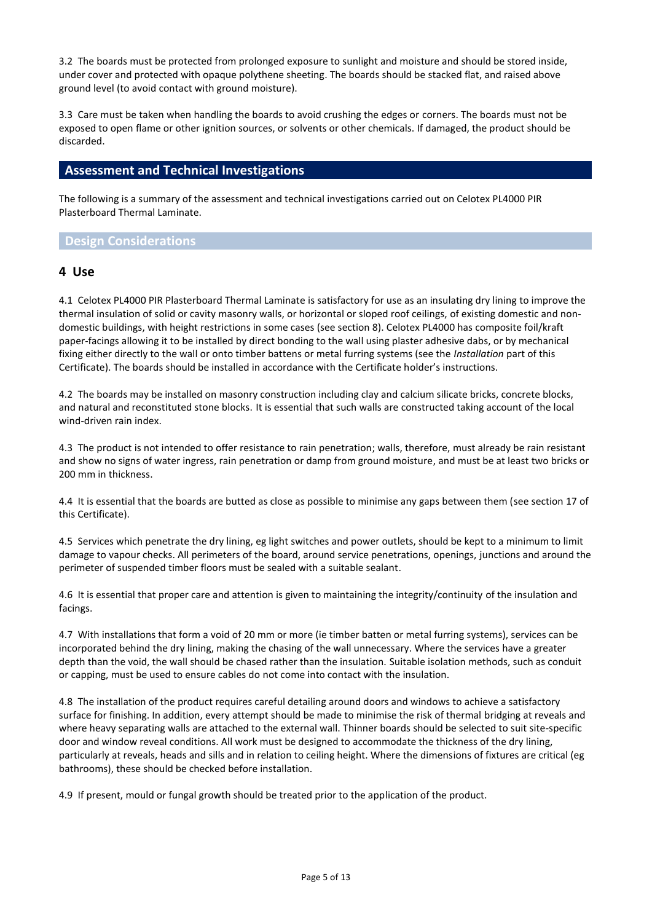3.2 The boards must be protected from prolonged exposure to sunlight and moisture and should be stored inside, under cover and protected with opaque polythene sheeting. The boards should be stacked flat, and raised above ground level (to avoid contact with ground moisture).

3.3 Care must be taken when handling the boards to avoid crushing the edges or corners. The boards must not be exposed to open flame or other ignition sources, or solvents or other chemicals. If damaged, the product should be discarded.

### **Assessment and Technical Investigations**

The following is a summary of the assessment and technical investigations carried out on Celotex PL4000 PIR Plasterboard Thermal Laminate.

#### **Design Considerations**

#### **4 Use**

4.1 Celotex PL4000 PIR Plasterboard Thermal Laminate is satisfactory for use as an insulating dry lining to improve the thermal insulation of solid or cavity masonry walls, or horizontal or sloped roof ceilings, of existing domestic and nondomestic buildings, with height restrictions in some cases (see section 8). Celotex PL4000 has composite foil/kraft paper-facings allowing it to be installed by direct bonding to the wall using plaster adhesive dabs, or by mechanical fixing either directly to the wall or onto timber battens or metal furring systems (see the *Installation* part of this Certificate). The boards should be installed in accordance with the Certificate holder's instructions.

4.2 The boards may be installed on masonry construction including clay and calcium silicate bricks, concrete blocks, and natural and reconstituted stone blocks. It is essential that such walls are constructed taking account of the local wind-driven rain index.

4.3 The product is not intended to offer resistance to rain penetration; walls, therefore, must already be rain resistant and show no signs of water ingress, rain penetration or damp from ground moisture, and must be at least two bricks or 200 mm in thickness.

4.4 It is essential that the boards are butted as close as possible to minimise any gaps between them (see section 17 of this Certificate).

4.5 Services which penetrate the dry lining, eg light switches and power outlets, should be kept to a minimum to limit damage to vapour checks. All perimeters of the board, around service penetrations, openings, junctions and around the perimeter of suspended timber floors must be sealed with a suitable sealant.

4.6 It is essential that proper care and attention is given to maintaining the integrity/continuity of the insulation and facings.

4.7 With installations that form a void of 20 mm or more (ie timber batten or metal furring systems), services can be incorporated behind the dry lining, making the chasing of the wall unnecessary. Where the services have a greater depth than the void, the wall should be chased rather than the insulation. Suitable isolation methods, such as conduit or capping, must be used to ensure cables do not come into contact with the insulation.

4.8 The installation of the product requires careful detailing around doors and windows to achieve a satisfactory surface for finishing. In addition, every attempt should be made to minimise the risk of thermal bridging at reveals and where heavy separating walls are attached to the external wall. Thinner boards should be selected to suit site-specific door and window reveal conditions. All work must be designed to accommodate the thickness of the dry lining, particularly at reveals, heads and sills and in relation to ceiling height. Where the dimensions of fixtures are critical (eg bathrooms), these should be checked before installation.

4.9 If present, mould or fungal growth should be treated prior to the application of the product.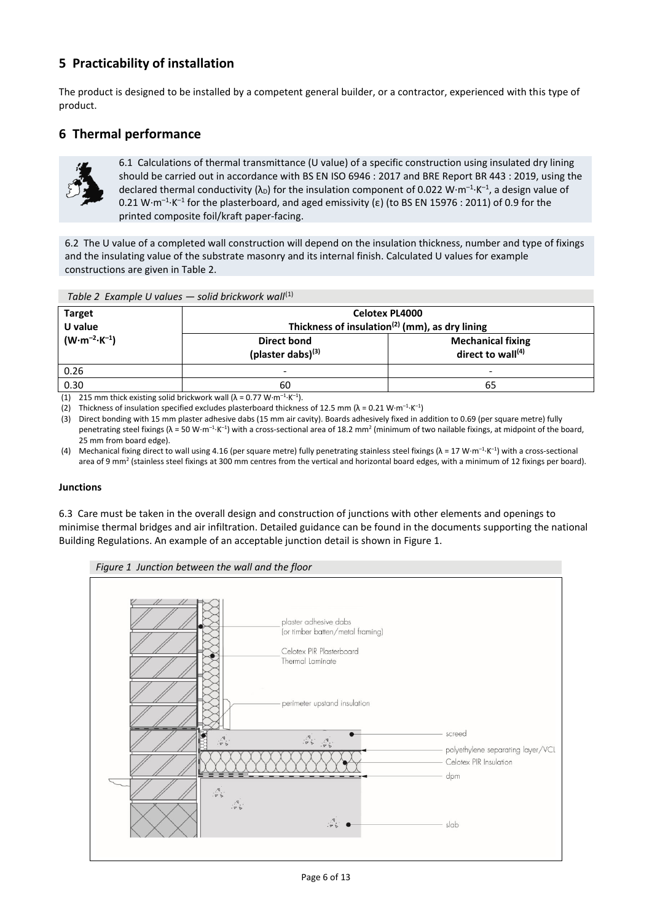## **5 Practicability of installation**

The product is designed to be installed by a competent general builder, or a contractor, experienced with this type of product.

## **6 Thermal performance**



6.1 Calculations of thermal transmittance (U value) of a specific construction using insulated dry lining should be carried out in accordance with BS EN ISO 6946 : 2017 and BRE Report BR 443 : 2019, using the declared thermal conductivity ( $\lambda_{\text{D}}$ ) for the insulation component of 0.022 W·m<sup>-1</sup>·K<sup>-1</sup>, a design value of 0.21 W·m<sup>-1</sup>·K<sup>-1</sup> for the plasterboard, and aged emissivity (ε) (to BS EN 15976 : 2011) of 0.9 for the printed composite foil/kraft paper-facing.

6.2 The U value of a completed wall construction will depend on the insulation thickness, number and type of fixings and the insulating value of the substrate masonry and its internal finish. Calculated U values for example constructions are given in Table 2.

| $T - \cdots - \cdots$                              |  |  |
|----------------------------------------------------|--|--|
| Table 2 Example U values – solid brickwork wall(1) |  |  |
|                                                    |  |  |

| <b>Target</b><br>U value        | <b>Celotex PL4000</b><br>Thickness of insulation <sup>(2)</sup> (mm), as dry lining |                                                  |  |
|---------------------------------|-------------------------------------------------------------------------------------|--------------------------------------------------|--|
| $(W \cdot m^{-2} \cdot K^{-1})$ | <b>Direct bond</b><br>(plaster dabs) $(3)$                                          | <b>Mechanical fixing</b><br>direct to wall $(4)$ |  |
| 0.26                            | $\overline{\phantom{0}}$                                                            |                                                  |  |
| 0.30                            | 60                                                                                  | 65                                               |  |
|                                 |                                                                                     |                                                  |  |

(1) 215 mm thick existing solid brickwork wall  $(\lambda = 0.77 \text{ W} \cdot \text{m}^{-1} \cdot \text{K}^{-1})$ .

(2) Thickness of insulation specified excludes plasterboard thickness of 12.5 mm ( $\lambda$  = 0.21 W·m<sup>-1</sup>·K<sup>-1</sup>)

(3) Direct bonding with 15 mm plaster adhesive dabs (15 mm air cavity). Boards adhesively fixed in addition to 0.69 (per square metre) fully penetrating steel fixings ( $\lambda$  = 50 W·m<sup>-1</sup>·K<sup>-1</sup>) with a cross-sectional area of 18.2 mm<sup>2</sup> (minimum of two nailable fixings, at midpoint of the board, 25 mm from board edge).

(4) Mechanical fixing direct to wall using 4.16 (per square metre) fully penetrating stainless steel fixings ( $\lambda = 17$  W·m<sup>-1</sup>·K<sup>-1</sup>) with a cross-sectional area of 9 mm<sup>2</sup> (stainless steel fixings at 300 mm centres from the vertical and horizontal board edges, with a minimum of 12 fixings per board).

#### **Junctions**

6.3 Care must be taken in the overall design and construction of junctions with other elements and openings to minimise thermal bridges and air infiltration. Detailed guidance can be found in the documents supporting the national Building Regulations. An example of an acceptable junction detail is shown in Figure 1.

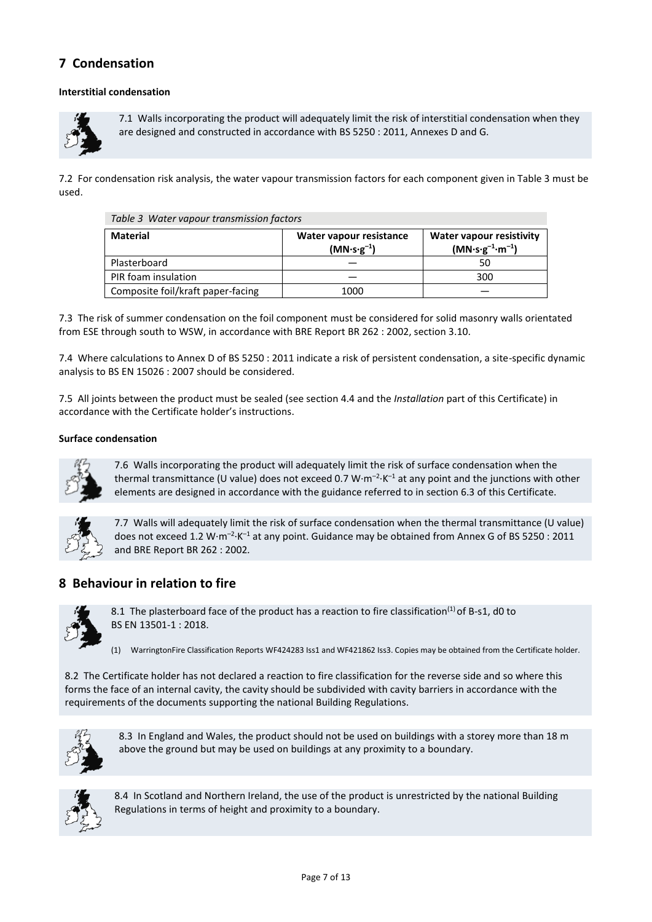## **7 Condensation**

#### **Interstitial condensation**



7.1 Walls incorporating the product will adequately limit the risk of interstitial condensation when they are designed and constructed in accordance with BS 5250 : 2011, Annexes D and G.

7.2 For condensation risk analysis, the water vapour transmission factors for each component given in Table 3 must be used.

|  | Table 3 Water vapour transmission factors |  |  |
|--|-------------------------------------------|--|--|
|--|-------------------------------------------|--|--|

| <b>Material</b>                   | Water vapour resistance<br>$(MN·s·g-1)$ | <b>Water vapour resistivity</b><br>$(MN·s·g-1·m-1)$ |
|-----------------------------------|-----------------------------------------|-----------------------------------------------------|
| Plasterboard                      |                                         | 50                                                  |
| PIR foam insulation               |                                         | 300                                                 |
| Composite foil/kraft paper-facing | 1000                                    |                                                     |

7.3 The risk of summer condensation on the foil component must be considered for solid masonry walls orientated from ESE through south to WSW, in accordance with BRE Report BR 262 : 2002, section 3.10.

7.4 Where calculations to Annex D of BS 5250 : 2011 indicate a risk of persistent condensation, a site-specific dynamic analysis to BS EN 15026 : 2007 should be considered.

7.5 All joints between the product must be sealed (see section 4.4 and the *Installation* part of this Certificate) in accordance with the Certificate holder's instructions.

#### **Surface condensation**



7.6 Walls incorporating the product will adequately limit the risk of surface condensation when the thermal transmittance (U value) does not exceed 0.7  $W \cdot m^{-2} \cdot K^{-1}$  at any point and the junctions with other elements are designed in accordance with the guidance referred to in section 6.3 of this Certificate.



7.7 Walls will adequately limit the risk of surface condensation when the thermal transmittance (U value) does not exceed 1.2 W $\cdot$ m<sup>-2</sup> $\cdot$ K<sup>-1</sup> at any point. Guidance may be obtained from Annex G of BS 5250 : 2011 and BRE Report BR 262 : 2002*.*

## **8 Behaviour in relation to fire**



8.1 The plasterboard face of the product has a reaction to fire classification<sup>(1)</sup> of B-s1, d0 to BS EN 13501-1 : 2018.

(1) WarringtonFire Classification Reports WF424283 Iss1 and WF421862 Iss3. Copies may be obtained from the Certificate holder.

8.2 The Certificate holder has not declared a reaction to fire classification for the reverse side and so where this forms the face of an internal cavity, the cavity should be subdivided with cavity barriers in accordance with the requirements of the documents supporting the national Building Regulations.



8.3 In England and Wales, the product should not be used on buildings with a storey more than 18 m above the ground but may be used on buildings at any proximity to a boundary.



8.4 In Scotland and Northern Ireland, the use of the product is unrestricted by the national Building Regulations in terms of height and proximity to a boundary.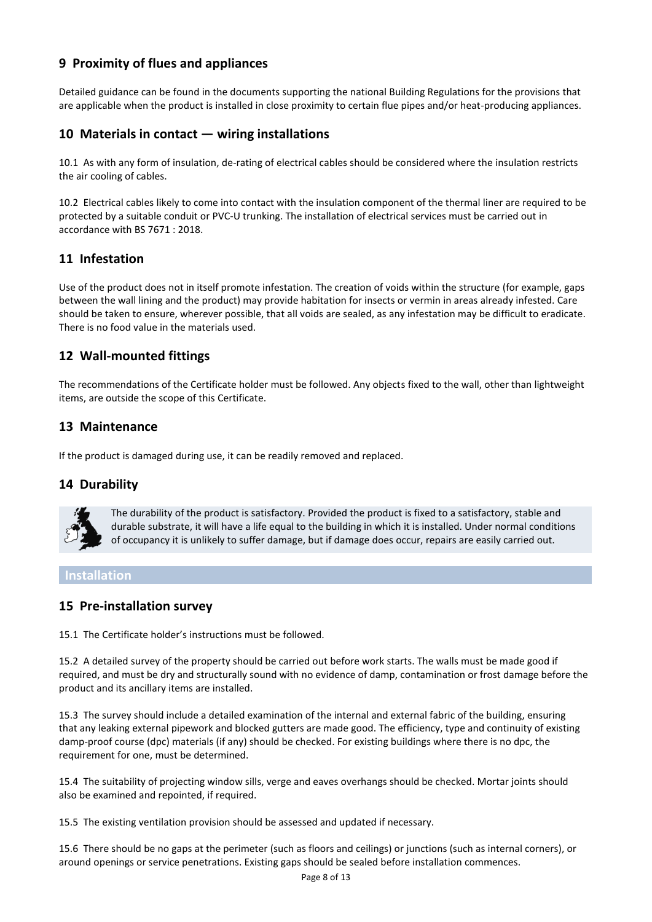## **9 Proximity of flues and appliances**

Detailed guidance can be found in the documents supporting the national Building Regulations for the provisions that are applicable when the product is installed in close proximity to certain flue pipes and/or heat-producing appliances.

## **10 Materials in contact — wiring installations**

10.1 As with any form of insulation, de-rating of electrical cables should be considered where the insulation restricts the air cooling of cables.

10.2 Electrical cables likely to come into contact with the insulation component of the thermal liner are required to be protected by a suitable conduit or PVC-U trunking. The installation of electrical services must be carried out in accordance with BS 7671 : 2018.

## **11 Infestation**

Use of the product does not in itself promote infestation. The creation of voids within the structure (for example, gaps between the wall lining and the product) may provide habitation for insects or vermin in areas already infested. Care should be taken to ensure, wherever possible, that all voids are sealed, as any infestation may be difficult to eradicate. There is no food value in the materials used.

## **12 Wall-mounted fittings**

The recommendations of the Certificate holder must be followed. Any objects fixed to the wall, other than lightweight items, are outside the scope of this Certificate.

## **13 Maintenance**

If the product is damaged during use, it can be readily removed and replaced.

### **14 Durability**



The durability of the product is satisfactory. Provided the product is fixed to a satisfactory, stable and durable substrate, it will have a life equal to the building in which it is installed. Under normal conditions of occupancy it is unlikely to suffer damage, but if damage does occur, repairs are easily carried out.

### **Installation**

### **15 Pre-installation survey**

15.1 The Certificate holder's instructions must be followed.

15.2 A detailed survey of the property should be carried out before work starts. The walls must be made good if required, and must be dry and structurally sound with no evidence of damp, contamination or frost damage before the product and its ancillary items are installed.

15.3 The survey should include a detailed examination of the internal and external fabric of the building, ensuring that any leaking external pipework and blocked gutters are made good. The efficiency, type and continuity of existing damp-proof course (dpc) materials (if any) should be checked. For existing buildings where there is no dpc, the requirement for one, must be determined.

15.4 The suitability of projecting window sills, verge and eaves overhangs should be checked. Mortar joints should also be examined and repointed, if required.

15.5 The existing ventilation provision should be assessed and updated if necessary.

15.6 There should be no gaps at the perimeter (such as floors and ceilings) or junctions (such as internal corners), or around openings or service penetrations. Existing gaps should be sealed before installation commences.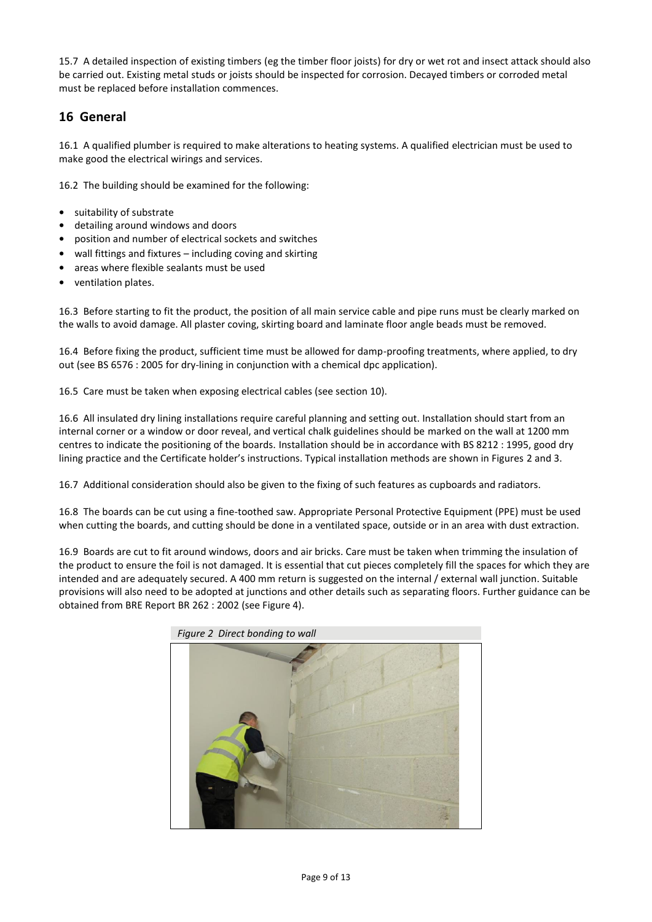15.7 A detailed inspection of existing timbers (eg the timber floor joists) for dry or wet rot and insect attack should also be carried out. Existing metal studs or joists should be inspected for corrosion. Decayed timbers or corroded metal must be replaced before installation commences.

## **16 General**

16.1 A qualified plumber is required to make alterations to heating systems. A qualified electrician must be used to make good the electrical wirings and services.

16.2 The building should be examined for the following:

- **•** suitability of substrate
- **•** detailing around windows and doors
- **•** position and number of electrical sockets and switches
- **•** wall fittings and fixtures including coving and skirting
- **•** areas where flexible sealants must be used
- **•** ventilation plates.

16.3 Before starting to fit the product, the position of all main service cable and pipe runs must be clearly marked on the walls to avoid damage. All plaster coving, skirting board and laminate floor angle beads must be removed.

16.4 Before fixing the product, sufficient time must be allowed for damp-proofing treatments, where applied, to dry out (see BS 6576 : 2005 for dry-lining in conjunction with a chemical dpc application).

16.5 Care must be taken when exposing electrical cables (see section 10).

16.6 All insulated dry lining installations require careful planning and setting out. Installation should start from an internal corner or a window or door reveal, and vertical chalk guidelines should be marked on the wall at 1200 mm centres to indicate the positioning of the boards. Installation should be in accordance with BS 8212 : 1995, good dry lining practice and the Certificate holder's instructions. Typical installation methods are shown in Figures 2 and 3.

16.7 Additional consideration should also be given to the fixing of such features as cupboards and radiators.

16.8 The boards can be cut using a fine-toothed saw. Appropriate Personal Protective Equipment (PPE) must be used when cutting the boards, and cutting should be done in a ventilated space, outside or in an area with dust extraction.

16.9 Boards are cut to fit around windows, doors and air bricks. Care must be taken when trimming the insulation of the product to ensure the foil is not damaged. It is essential that cut pieces completely fill the spaces for which they are intended and are adequately secured. A 400 mm return is suggested on the internal / external wall junction. Suitable provisions will also need to be adopted at junctions and other details such as separating floors. Further guidance can be obtained from BRE Report BR 262 : 2002 (see Figure 4).

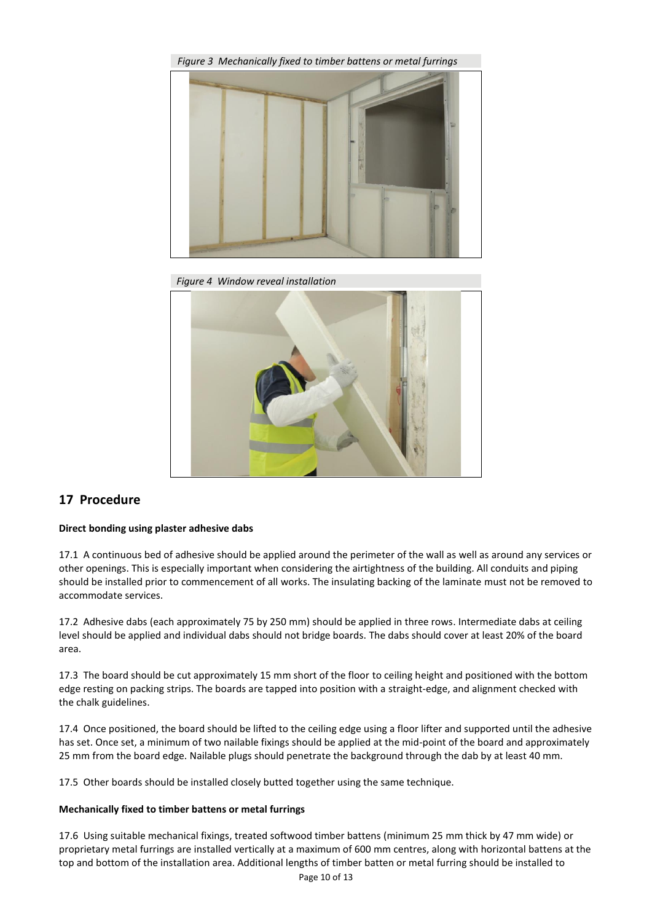

*Figure 4 Window reveal installation*



### **17 Procedure**

#### **Direct bonding using plaster adhesive dabs**

17.1 A continuous bed of adhesive should be applied around the perimeter of the wall as well as around any services or other openings. This is especially important when considering the airtightness of the building. All conduits and piping should be installed prior to commencement of all works. The insulating backing of the laminate must not be removed to accommodate services.

17.2 Adhesive dabs (each approximately 75 by 250 mm) should be applied in three rows. Intermediate dabs at ceiling level should be applied and individual dabs should not bridge boards. The dabs should cover at least 20% of the board area.

17.3 The board should be cut approximately 15 mm short of the floor to ceiling height and positioned with the bottom edge resting on packing strips. The boards are tapped into position with a straight-edge, and alignment checked with the chalk guidelines.

17.4 Once positioned, the board should be lifted to the ceiling edge using a floor lifter and supported until the adhesive has set. Once set, a minimum of two nailable fixings should be applied at the mid-point of the board and approximately 25 mm from the board edge. Nailable plugs should penetrate the background through the dab by at least 40 mm.

17.5 Other boards should be installed closely butted together using the same technique.

#### **Mechanically fixed to timber battens or metal furrings**

17.6 Using suitable mechanical fixings, treated softwood timber battens (minimum 25 mm thick by 47 mm wide) or proprietary metal furrings are installed vertically at a maximum of 600 mm centres, along with horizontal battens at the top and bottom of the installation area. Additional lengths of timber batten or metal furring should be installed to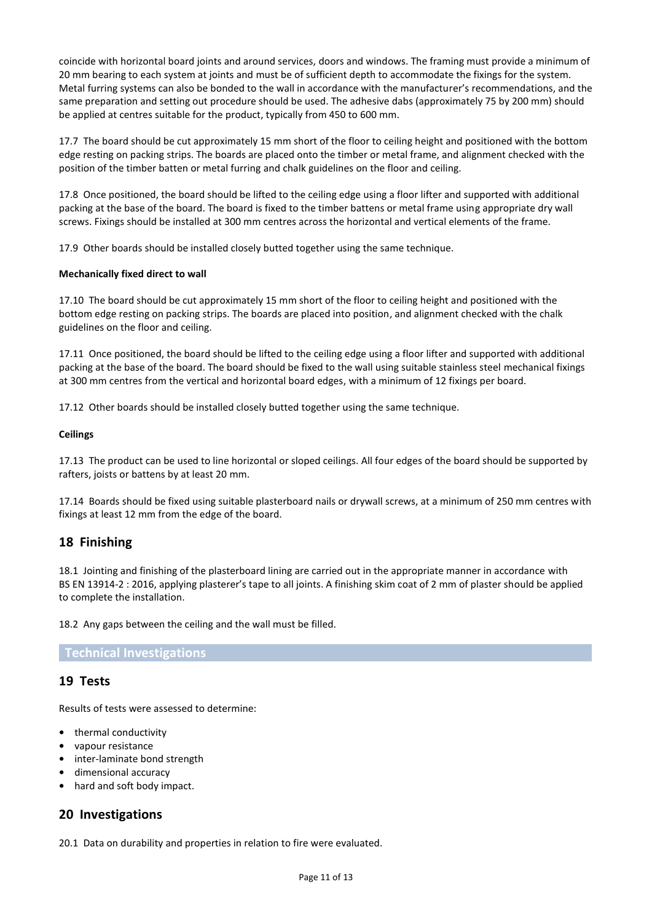coincide with horizontal board joints and around services, doors and windows. The framing must provide a minimum of 20 mm bearing to each system at joints and must be of sufficient depth to accommodate the fixings for the system. Metal furring systems can also be bonded to the wall in accordance with the manufacturer's recommendations, and the same preparation and setting out procedure should be used. The adhesive dabs (approximately 75 by 200 mm) should be applied at centres suitable for the product, typically from 450 to 600 mm.

17.7 The board should be cut approximately 15 mm short of the floor to ceiling height and positioned with the bottom edge resting on packing strips. The boards are placed onto the timber or metal frame, and alignment checked with the position of the timber batten or metal furring and chalk guidelines on the floor and ceiling.

17.8 Once positioned, the board should be lifted to the ceiling edge using a floor lifter and supported with additional packing at the base of the board. The board is fixed to the timber battens or metal frame using appropriate dry wall screws. Fixings should be installed at 300 mm centres across the horizontal and vertical elements of the frame.

17.9 Other boards should be installed closely butted together using the same technique.

#### **Mechanically fixed direct to wall**

17.10 The board should be cut approximately 15 mm short of the floor to ceiling height and positioned with the bottom edge resting on packing strips. The boards are placed into position, and alignment checked with the chalk guidelines on the floor and ceiling.

17.11 Once positioned, the board should be lifted to the ceiling edge using a floor lifter and supported with additional packing at the base of the board. The board should be fixed to the wall using suitable stainless steel mechanical fixings at 300 mm centres from the vertical and horizontal board edges, with a minimum of 12 fixings per board.

17.12 Other boards should be installed closely butted together using the same technique.

#### **Ceilings**

17.13 The product can be used to line horizontal or sloped ceilings. All four edges of the board should be supported by rafters, joists or battens by at least 20 mm.

17.14 Boards should be fixed using suitable plasterboard nails or drywall screws, at a minimum of 250 mm centres with fixings at least 12 mm from the edge of the board.

### **18 Finishing**

18.1 Jointing and finishing of the plasterboard lining are carried out in the appropriate manner in accordance with BS EN 13914-2 : 2016, applying plasterer's tape to all joints. A finishing skim coat of 2 mm of plaster should be applied to complete the installation.

18.2 Any gaps between the ceiling and the wall must be filled.

**Technical Investigations**

### **19 Tests**

Results of tests were assessed to determine:

- **•** thermal conductivity
- **•** vapour resistance
- **•** inter-laminate bond strength
- **•** dimensional accuracy
- **•** hard and soft body impact.

### **20 Investigations**

20.1 Data on durability and properties in relation to fire were evaluated.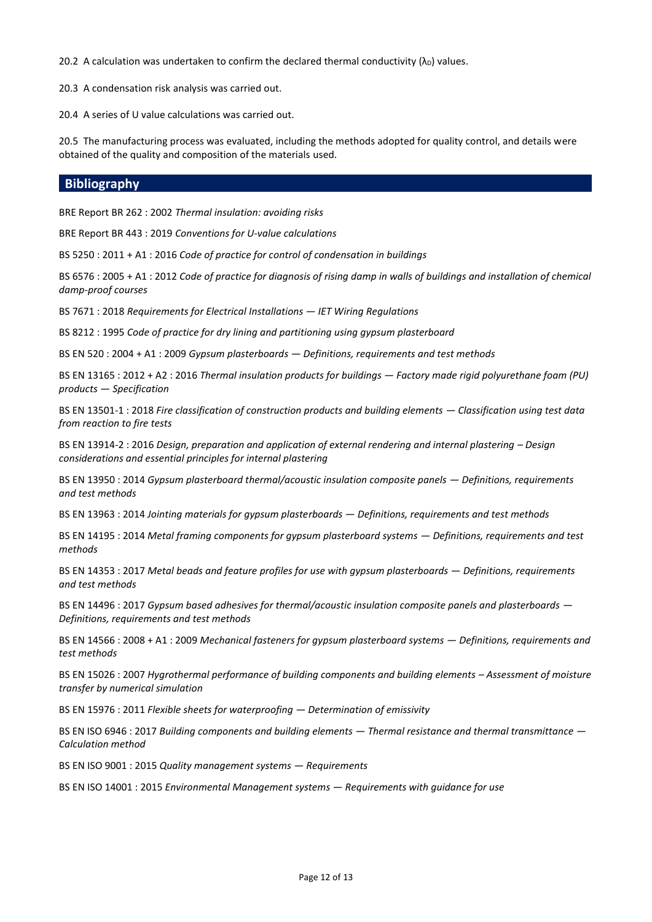20.2 A calculation was undertaken to confirm the declared thermal conductivity  $(\lambda_D)$  values.

20.3 A condensation risk analysis was carried out.

20.4 A series of U value calculations was carried out.

20.5 The manufacturing process was evaluated, including the methods adopted for quality control, and details were obtained of the quality and composition of the materials used.

### **Bibliography**

BRE Report BR 262 : 2002 *Thermal insulation: avoiding risks*

BRE Report BR 443 : 2019 *Conventions for U-value calculations*

BS 5250 : 2011 + A1 : 2016 *Code of practice for control of condensation in buildings*

BS 6576 : 2005 + A1 : 2012 *Code of practice for diagnosis of rising damp in walls of buildings and installation of chemical damp-proof courses*

BS 7671 : 2018 *Requirements for Electrical Installations — IET Wiring Regulations*

BS 8212 : 1995 *Code of practice for dry lining and partitioning using gypsum plasterboard*

BS EN 520 : 2004 + A1 : 2009 *Gypsum plasterboards — Definitions, requirements and test methods*

BS EN 13165 : 2012 + A2 : 2016 *Thermal insulation products for buildings — Factory made rigid polyurethane foam (PU) products — Specification*

BS EN 13501-1 : 2018 *Fire classification of construction products and building elements — Classification using test data from reaction to fire tests*

BS EN 13914-2 : 2016 *Design, preparation and application of external rendering and internal plastering – Design considerations and essential principles for internal plastering*

BS EN 13950 : 2014 *Gypsum plasterboard thermal/acoustic insulation composite panels — Definitions, requirements and test methods*

BS EN 13963 : 2014 *Jointing materials for gypsum plasterboards — Definitions, requirements and test methods*

BS EN 14195 : 2014 *Metal framing components for gypsum plasterboard systems — Definitions, requirements and test methods*

BS EN 14353 : 2017 *Metal beads and feature profiles for use with gypsum plasterboards — Definitions, requirements and test methods*

BS EN 14496 : 2017 *Gypsum based adhesives for thermal/acoustic insulation composite panels and plasterboards — Definitions, requirements and test methods*

BS EN 14566 : 2008 + A1 : 2009 *Mechanical fasteners for gypsum plasterboard systems — Definitions, requirements and test methods* 

BS EN 15026 : 2007 *Hygrothermal performance of building components and building elements – Assessment of moisture transfer by numerical simulation*

BS EN 15976 : 2011 *Flexible sheets for waterproofing — Determination of emissivity*

BS EN ISO 6946 : 2017 *Building components and building elements — Thermal resistance and thermal transmittance — Calculation method*

BS EN ISO 9001 : 2015 *Quality management systems — Requirements*

BS EN ISO 14001 : 2015 *Environmental Management systems — Requirements with guidance for use*